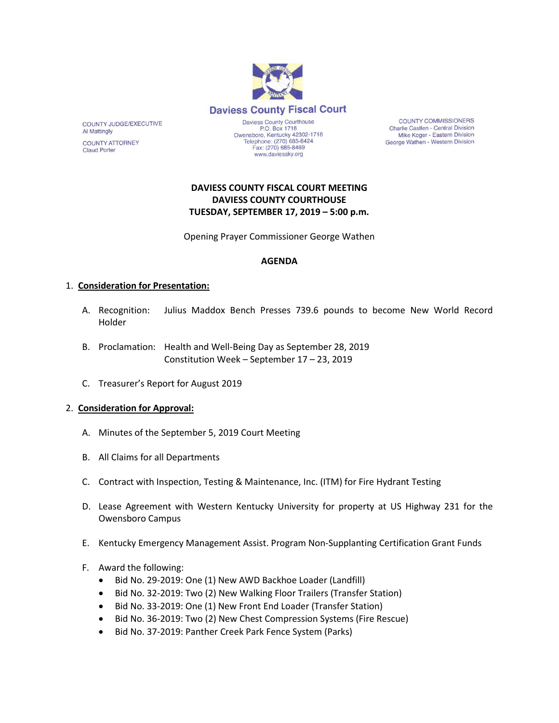

**COUNTY COMMISSIONERS** Charlie Castlen - Central Division Mike Koger - Eastern Division George Wathen - Western Division

# **DAVIESS COUNTY FISCAL COURT MEETING DAVIESS COUNTY COURTHOUSE TUESDAY, SEPTEMBER 17, 2019 – 5:00 p.m.**

Opening Prayer Commissioner George Wathen

# **AGENDA**

## 1. **Consideration for Presentation:**

COUNTY JUDGE/EXECUTIVE

**COUNTY ATTORNEY Claud Porter** 

**Al Mattingly** 

- A. Recognition: Julius Maddox Bench Presses 739.6 pounds to become New World Record Holder
- B. Proclamation: Health and Well-Being Day as September 28, 2019 Constitution Week – September 17 – 23, 2019
- C. Treasurer's Report for August 2019

## 2. **Consideration for Approval:**

- A. Minutes of the September 5, 2019 Court Meeting
- B. All Claims for all Departments
- C. Contract with Inspection, Testing & Maintenance, Inc. (ITM) for Fire Hydrant Testing
- D. Lease Agreement with Western Kentucky University for property at US Highway 231 for the Owensboro Campus
- E. Kentucky Emergency Management Assist. Program Non-Supplanting Certification Grant Funds
- F. Award the following:
	- Bid No. 29-2019: One (1) New AWD Backhoe Loader (Landfill)
	- Bid No. 32-2019: Two (2) New Walking Floor Trailers (Transfer Station)
	- Bid No. 33-2019: One (1) New Front End Loader (Transfer Station)
	- Bid No. 36-2019: Two (2) New Chest Compression Systems (Fire Rescue)
	- Bid No. 37-2019: Panther Creek Park Fence System (Parks)